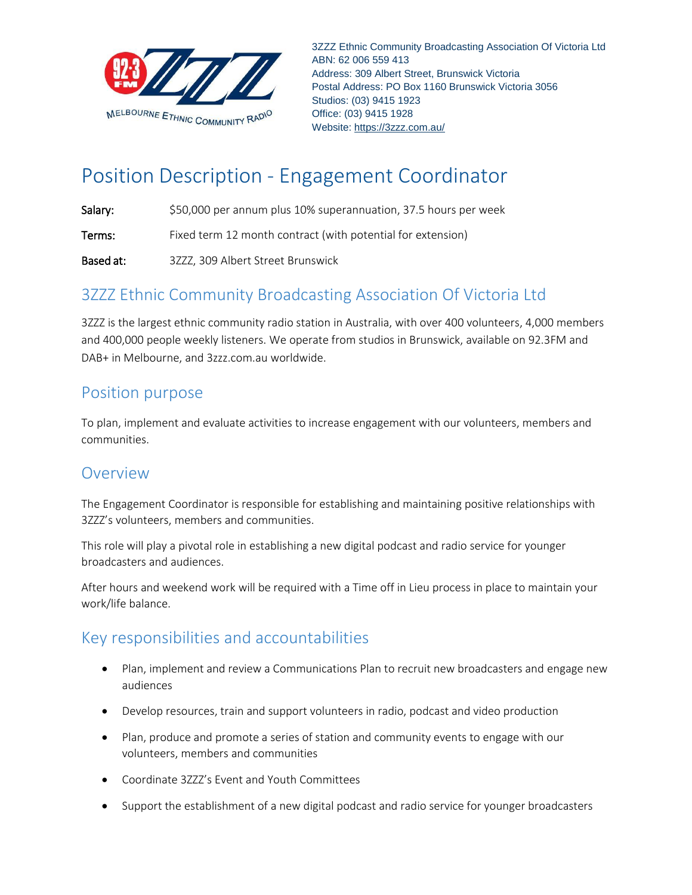

3ZZZ Ethnic Community Broadcasting Association Of Victoria Ltd ABN: 62 006 559 413 Address: 309 Albert Street, Brunswick Victoria Postal Address: PO Box 1160 Brunswick Victoria 3056 Studios: (03) 9415 1923 Office: (03) 9415 1928 Website: https://3zzz.com.au/

# Position Description ‐ Engagement Coordinator

Salary:  $$50,000$  per annum plus 10% superannuation, 37.5 hours per week

Terms: Fixed term 12 month contract (with potential for extension)

Based at: 3ZZZ, 309 Albert Street Brunswick

# 3ZZZ Ethnic Community Broadcasting Association Of Victoria Ltd

3ZZZ is the largest ethnic community radio station in Australia, with over 400 volunteers, 4,000 members and 400,000 people weekly listeners. We operate from studios in Brunswick, available on 92.3FM and DAB+ in Melbourne, and 3zzz.com.au worldwide.

## Position purpose

To plan, implement and evaluate activities to increase engagement with our volunteers, members and communities.

#### Overview

The Engagement Coordinator is responsible for establishing and maintaining positive relationships with 3ZZZ's volunteers, members and communities.

This role will play a pivotal role in establishing a new digital podcast and radio service for younger broadcasters and audiences.

After hours and weekend work will be required with a Time off in Lieu process in place to maintain your work/life balance.

## Key responsibilities and accountabilities

- Plan, implement and review a Communications Plan to recruit new broadcasters and engage new audiences
- Develop resources, train and support volunteers in radio, podcast and video production
- Plan, produce and promote a series of station and community events to engage with our volunteers, members and communities
- Coordinate 3ZZZ's Event and Youth Committees
- Support the establishment of a new digital podcast and radio service for younger broadcasters